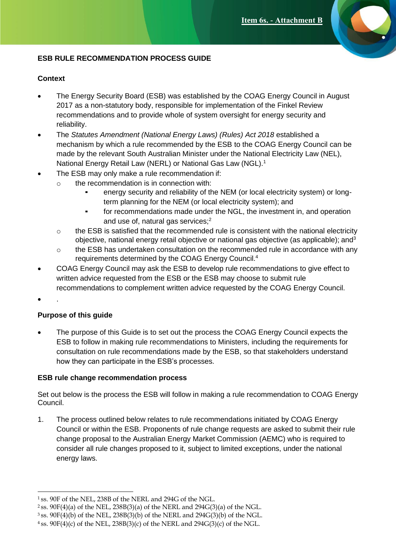## **ESB RULE RECOMMENDATION PROCESS GUIDE**

## **Context**

- The Energy Security Board (ESB) was established by the COAG Energy Council in August 2017 as a non-statutory body, responsible for implementation of the Finkel Review recommendations and to provide whole of system oversight for energy security and reliability.
- The *Statutes Amendment (National Energy Laws) (Rules) Act 2018* established a mechanism by which a rule recommended by the ESB to the COAG Energy Council can be made by the relevant South Australian Minister under the National Electricity Law (NEL), National Energy Retail Law (NERL) or National Gas Law (NGL).<sup>1</sup>
- The ESB may only make a rule recommendation if:
	- $\circ$  the recommendation is in connection with:
		- energy security and reliability of the NEM (or local electricity system) or longterm planning for the NEM (or local electricity system); and
		- for recommendations made under the NGL, the investment in, and operation and use of, natural gas services;<sup>2</sup>
	- $\circ$  the ESB is satisfied that the recommended rule is consistent with the national electricity objective, national energy retail objective or national gas objective (as applicable); and  $3$
	- $\circ$  the ESB has undertaken consultation on the recommended rule in accordance with any requirements determined by the COAG Energy Council.<sup>4</sup>
- COAG Energy Council may ask the ESB to develop rule recommendations to give effect to written advice requested from the ESB or the ESB may choose to submit rule recommendations to complement written advice requested by the COAG Energy Council.
- .

## **Purpose of this guide**

• The purpose of this Guide is to set out the process the COAG Energy Council expects the ESB to follow in making rule recommendations to Ministers, including the requirements for consultation on rule recommendations made by the ESB, so that stakeholders understand how they can participate in the ESB's processes.

## **ESB rule change recommendation process**

Set out below is the process the ESB will follow in making a rule recommendation to COAG Energy Council.

1. The process outlined below relates to rule recommendations initiated by COAG Energy Council or within the ESB. Proponents of rule change requests are asked to submit their rule change proposal to the Australian Energy Market Commission (AEMC) who is required to consider all rule changes proposed to it, subject to limited exceptions, under the national energy laws.

<sup>1</sup>ss. 90F of the NEL, 238B of the NERL and 294G of the NGL.

<sup>&</sup>lt;sup>2</sup> ss.  $90F(4)(a)$  of the NEL,  $238B(3)(a)$  of the NERL and  $294G(3)(a)$  of the NGL.

 $3$  ss. 90F(4)(b) of the NEL, 238B(3)(b) of the NERL and 294G(3)(b) of the NGL.

 $4$  ss. 90F(4)(c) of the NEL, 238B(3)(c) of the NERL and 294G(3)(c) of the NGL.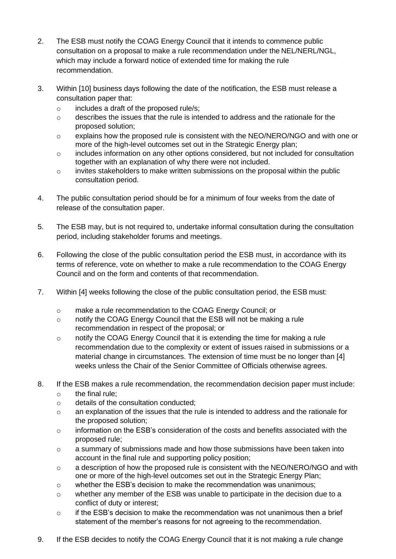- 2. The ESB must notify the COAG Energy Council that it intends to commence public consultation on a proposal to make a rule recommendation under the NEL/NERL/NGL, which may include a forward notice of extended time for making the rule recommendation.
- 3. Within [10] business days following the date of the notification, the ESB must release a consultation paper that:
	- o includes a draft of the proposed rule/s;
	- o describes the issues that the rule is intended to address and the rationale for the proposed solution;
	- $\circ$  explains how the proposed rule is consistent with the NEO/NERO/NGO and with one or more of the high-level outcomes set out in the Strategic Energy plan;
	- o includes information on any other options considered, but not included for consultation together with an explanation of why there were not included.
	- o invites stakeholders to make written submissions on the proposal within the public consultation period.
- 4. The public consultation period should be for a minimum of four weeks from the date of release of the consultation paper.
- 5. The ESB may, but is not required to, undertake informal consultation during the consultation period, including stakeholder forums and meetings.
- 6. Following the close of the public consultation period the ESB must, in accordance with its terms of reference, vote on whether to make a rule recommendation to the COAG Energy Council and on the form and contents of that recommendation.
- 7. Within [4] weeks following the close of the public consultation period, the ESB must:
	- o make a rule recommendation to the COAG Energy Council; or
	- o notify the COAG Energy Council that the ESB will not be making a rule recommendation in respect of the proposal; or
	- o notify the COAG Energy Council that it is extending the time for making a rule recommendation due to the complexity or extent of issues raised in submissions or a material change in circumstances. The extension of time must be no longer than [4] weeks unless the Chair of the Senior Committee of Officials otherwise agrees.
- 8. If the ESB makes a rule recommendation, the recommendation decision paper must include:
	- $\circ$  the final rule:
	- o details of the consultation conducted;
	- $\circ$  an explanation of the issues that the rule is intended to address and the rationale for the proposed solution;
	- $\circ$  information on the ESB's consideration of the costs and benefits associated with the proposed rule;
	- o a summary of submissions made and how those submissions have been taken into account in the final rule and supporting policy position;
	- o a description of how the proposed rule is consistent with the NEO/NERO/NGO and with one or more of the high-level outcomes set out in the Strategic Energy Plan;
	- $\circ$  whether the ESB's decision to make the recommendation was unanimous;
	- $\circ$  whether any member of the ESB was unable to participate in the decision due to a conflict of duty or interest;
	- $\circ$  if the ESB's decision to make the recommendation was not unanimous then a brief statement of the member's reasons for not agreeing to the recommendation.
- 9. If the ESB decides to notify the COAG Energy Council that it is not making a rule change